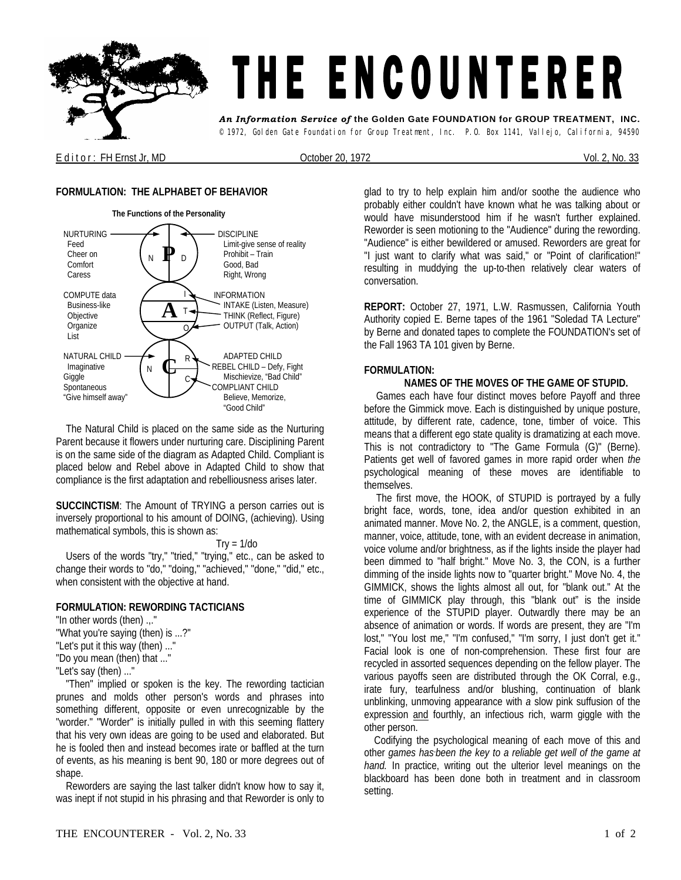

E d it or : FH Ernst Jr, MD Crober 20, 1972 Corporation of the U.S. 2, No. 33

# **FORMULATION: THE ALPHABET OF BEHAVIOR**



 The Natural Child is placed on the same side as the Nurturing Parent because it flowers under nurturing care. Disciplining Parent is on the same side of the diagram as Adapted Child. Compliant is placed below and Rebel above in Adapted Child to show that compliance is the first adaptation and rebelliousness arises later.

**SUCCINCTISM**: The Amount of TRYING a person carries out is inversely proportional to his amount of DOING, (achieving). Using mathematical symbols, this is shown as:

 $Try = 1/do$ 

 Users of the words "try," "tried," "trying," etc., can be asked to change their words to "do," "doing," "achieved," "done," "did," etc., when consistent with the objective at hand.

## **FORMULATION: REWORDING TACTICIANS**

"In other words (then) .,." ''What you're saying (then) is ...?" "Let's put it this way (then) ..." "Do you mean (then) that ..." "Let's say (then) ..."

 "Then" implied or spoken is the key. The rewording tactician prunes and molds other person's words and phrases into something different, opposite or even unrecognizable by the "worder." "Worder" is initially pulled in with this seeming flattery that his very own ideas are going to be used and elaborated. But he is fooled then and instead becomes irate or baffled at the turn of events, as his meaning is bent 90, 180 or more degrees out of shape.

 Reworders are saying the last talker didn't know how to say it, was inept if not stupid in his phrasing and that Reworder is only to

glad to try to help explain him and/or soothe the audience who probably either couldn't have known what he was talking about or would have misunderstood him if he wasn't further explained. Reworder is seen motioning to the "Audience" during the rewording. "Audience" is either bewildered or amused. Reworders are great for "I just want to clarify what was said," or "Point of clarification!" resulting in muddying the up-to-then relatively clear waters of conversation.

**REPORT:** October 27, 1971, L.W. Rasmussen, California Youth Authority copied E. Berne tapes of the 1961 "Soledad TA Lecture" by Berne and donated tapes to complete the FOUNDATION's set of the Fall 1963 TA 101 given by Berne.

## **FORMULATION:**

## **NAMES OF THE MOVES OF THE GAME OF STUPID.**

Games each have four distinct moves before Payoff and three before the Gimmick move. Each is distinguished by unique posture, attitude, by different rate, cadence, tone, timber of voice. This means that a different ego state quality is dramatizing at each move. This is not contradictory to "The Game Formula (G)" (Berne). Patients get well of favored games in more rapid order when *the*  psychological meaning of these moves are identifiable to themselves.

The first move, the HOOK, of STUPID is portrayed by a fully bright face, words, tone, idea and/or question exhibited in an animated manner. Move No. 2, the ANGLE, is a comment, question, manner, voice, attitude, tone, with an evident decrease in animation, voice volume and/or brightness, as if the lights inside the player had been dimmed to "half bright." Move No. 3, the CON, is a further dimming of the inside lights now to "quarter bright." Move No. 4, the GIMMICK, shows the lights almost all out, for "blank out." At the time of GIMMICK play through, this "blank out" is the inside experience of the STUPID player. Outwardly there may be an absence of animation or words. If words are present, they are "I'm lost," "You lost me," "I'm confused," "I'm sorry, I just don't get it." Facial look is one of non-comprehension. These first four are recycled in assorted sequences depending on the fellow player. The various payoffs seen are distributed through the OK Corral, e.g., irate fury, tearfulness and/or blushing, continuation of blank unblinking, unmoving appearance with *a* slow pink suffusion of the expression and fourthly, an infectious rich, warm giggle with the other person.

 Codifying the psychological meaning of each move of this and other *games has-been the key to a reliable get well of the game at hand.* In practice, writing out the ulterior level meanings on the blackboard has been done both in treatment and in classroom setting.